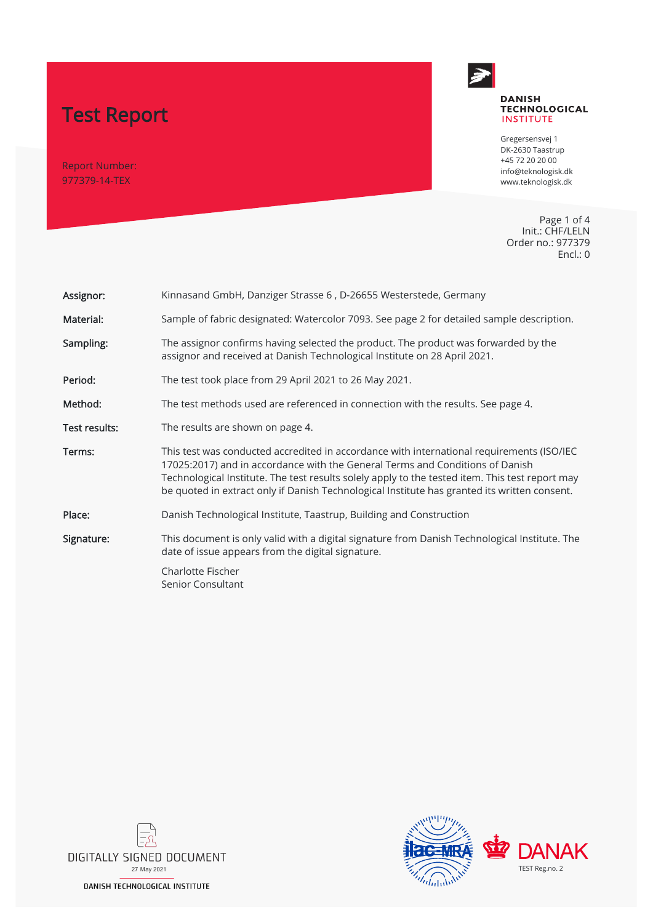# Test Report

Report Number: 977379-14-TEX



#### **DANISH TECHNOLOGICAL INSTITUTE**

Gregersensvej 1 DK-2630 Taastrup +45 72 20 20 00 info@teknologisk.dk www.teknologisk.dk

Page 1 of 4 Init.: CHF/LELN Order no.: 977379 Encl.: 0

| Assignor:     | Kinnasand GmbH, Danziger Strasse 6, D-26655 Westerstede, Germany                                                                                                                                                                                                                                                                                                              |  |
|---------------|-------------------------------------------------------------------------------------------------------------------------------------------------------------------------------------------------------------------------------------------------------------------------------------------------------------------------------------------------------------------------------|--|
| Material:     | Sample of fabric designated: Watercolor 7093. See page 2 for detailed sample description.                                                                                                                                                                                                                                                                                     |  |
| Sampling:     | The assignor confirms having selected the product. The product was forwarded by the<br>assignor and received at Danish Technological Institute on 28 April 2021.                                                                                                                                                                                                              |  |
| Period:       | The test took place from 29 April 2021 to 26 May 2021.                                                                                                                                                                                                                                                                                                                        |  |
| Method:       | The test methods used are referenced in connection with the results. See page 4.                                                                                                                                                                                                                                                                                              |  |
| Test results: | The results are shown on page 4.                                                                                                                                                                                                                                                                                                                                              |  |
|               |                                                                                                                                                                                                                                                                                                                                                                               |  |
| Terms:        | This test was conducted accredited in accordance with international requirements (ISO/IEC<br>17025:2017) and in accordance with the General Terms and Conditions of Danish<br>Technological Institute. The test results solely apply to the tested item. This test report may<br>be quoted in extract only if Danish Technological Institute has granted its written consent. |  |
| Place:        | Danish Technological Institute, Taastrup, Building and Construction                                                                                                                                                                                                                                                                                                           |  |
| Signature:    | This document is only valid with a digital signature from Danish Technological Institute. The<br>date of issue appears from the digital signature.                                                                                                                                                                                                                            |  |



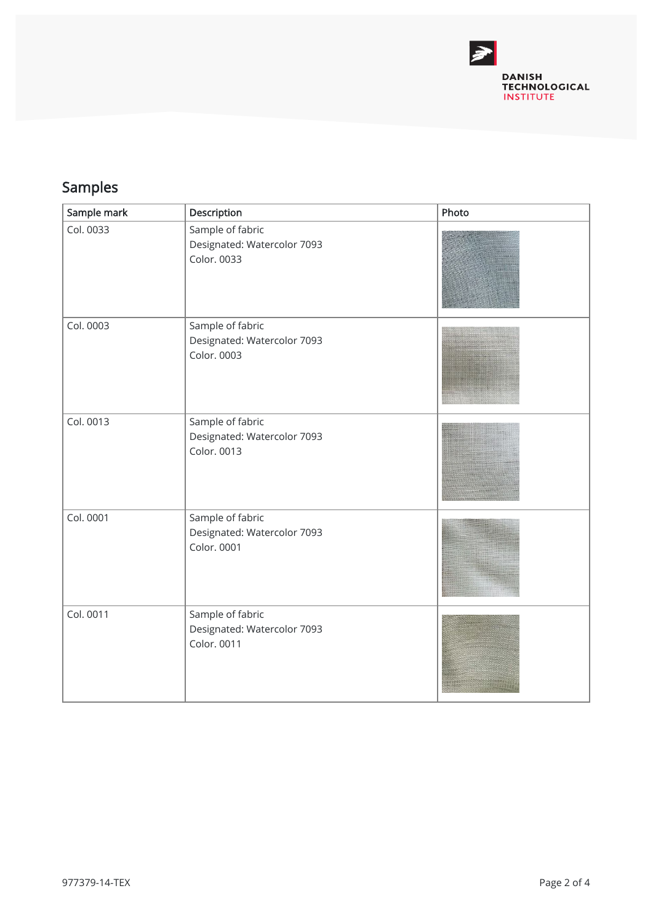

## Samples

| Sample mark | Description                                                    | Photo |
|-------------|----------------------------------------------------------------|-------|
| Col. 0033   | Sample of fabric<br>Designated: Watercolor 7093<br>Color. 0033 |       |
| Col. 0003   | Sample of fabric<br>Designated: Watercolor 7093<br>Color. 0003 |       |
| Col. 0013   | Sample of fabric<br>Designated: Watercolor 7093<br>Color. 0013 |       |
| Col. 0001   | Sample of fabric<br>Designated: Watercolor 7093<br>Color. 0001 |       |
| Col. 0011   | Sample of fabric<br>Designated: Watercolor 7093<br>Color. 0011 |       |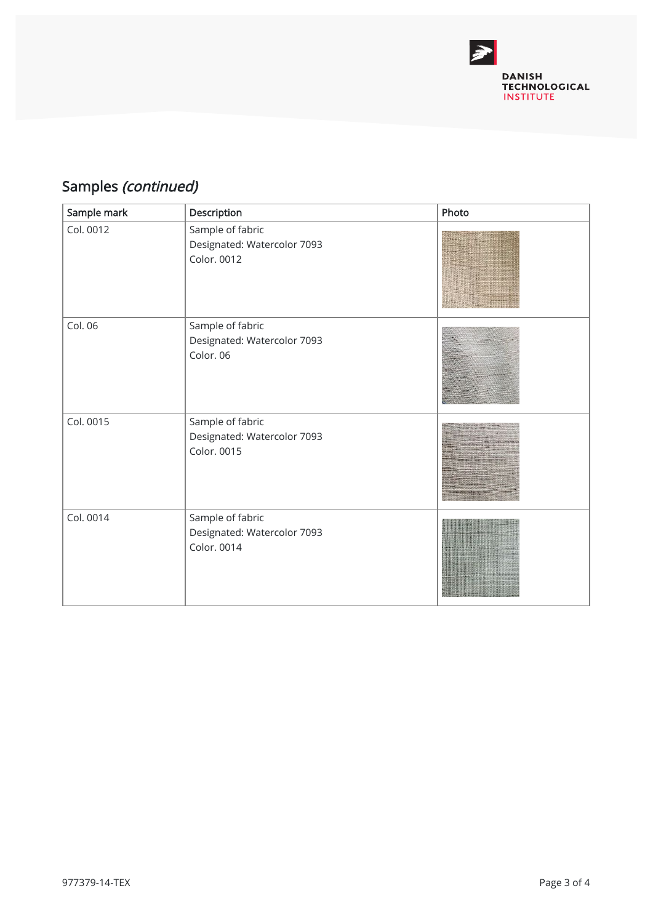

## Samples (continued)

| Sample mark | Description                                                    | Photo |
|-------------|----------------------------------------------------------------|-------|
| Col. 0012   | Sample of fabric<br>Designated: Watercolor 7093<br>Color. 0012 |       |
| Col. 06     | Sample of fabric<br>Designated: Watercolor 7093<br>Color. 06   |       |
| Col. 0015   | Sample of fabric<br>Designated: Watercolor 7093<br>Color. 0015 |       |
| Col. 0014   | Sample of fabric<br>Designated: Watercolor 7093<br>Color. 0014 |       |